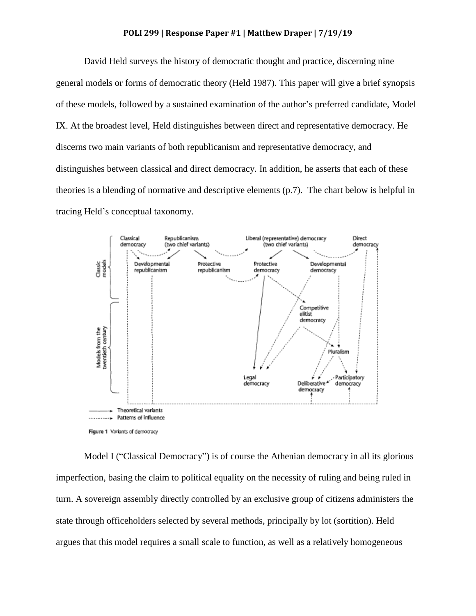## **POLI 299 | Response Paper #1 | Matthew Draper | 7/19/19**

David Held surveys the history of democratic thought and practice, discerning nine general models or forms of democratic theory (Held 1987). This paper will give a brief synopsis of these models, followed by a sustained examination of the author's preferred candidate, Model IX. At the broadest level, Held distinguishes between direct and representative democracy. He discerns two main variants of both republicanism and representative democracy, and distinguishes between classical and direct democracy. In addition, he asserts that each of these theories is a blending of normative and descriptive elements (p.7). The chart below is helpful in tracing Held's conceptual taxonomy.



Model I ("Classical Democracy") is of course the Athenian democracy in all its glorious imperfection, basing the claim to political equality on the necessity of ruling and being ruled in turn. A sovereign assembly directly controlled by an exclusive group of citizens administers the state through officeholders selected by several methods, principally by lot (sortition). Held argues that this model requires a small scale to function, as well as a relatively homogeneous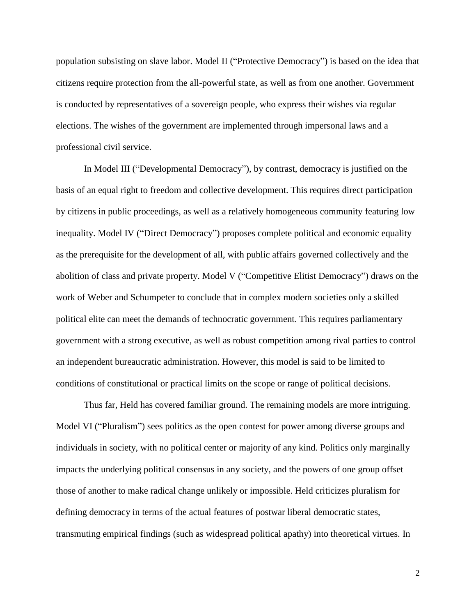population subsisting on slave labor. Model II ("Protective Democracy") is based on the idea that citizens require protection from the all-powerful state, as well as from one another. Government is conducted by representatives of a sovereign people, who express their wishes via regular elections. The wishes of the government are implemented through impersonal laws and a professional civil service.

In Model III ("Developmental Democracy"), by contrast, democracy is justified on the basis of an equal right to freedom and collective development. This requires direct participation by citizens in public proceedings, as well as a relatively homogeneous community featuring low inequality. Model IV ("Direct Democracy") proposes complete political and economic equality as the prerequisite for the development of all, with public affairs governed collectively and the abolition of class and private property. Model V ("Competitive Elitist Democracy") draws on the work of Weber and Schumpeter to conclude that in complex modern societies only a skilled political elite can meet the demands of technocratic government. This requires parliamentary government with a strong executive, as well as robust competition among rival parties to control an independent bureaucratic administration. However, this model is said to be limited to conditions of constitutional or practical limits on the scope or range of political decisions.

Thus far, Held has covered familiar ground. The remaining models are more intriguing. Model VI ("Pluralism") sees politics as the open contest for power among diverse groups and individuals in society, with no political center or majority of any kind. Politics only marginally impacts the underlying political consensus in any society, and the powers of one group offset those of another to make radical change unlikely or impossible. Held criticizes pluralism for defining democracy in terms of the actual features of postwar liberal democratic states, transmuting empirical findings (such as widespread political apathy) into theoretical virtues. In

2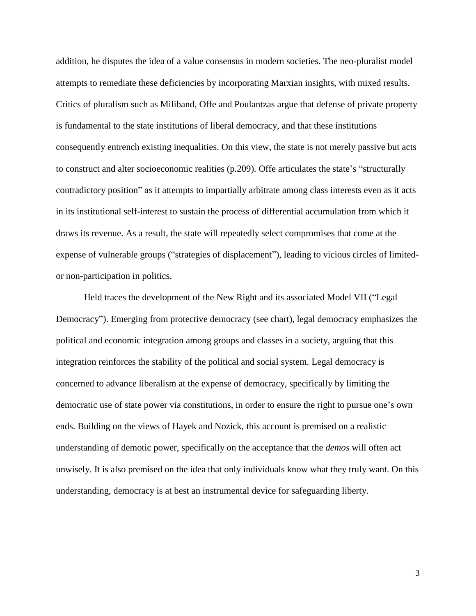addition, he disputes the idea of a value consensus in modern societies. The neo-pluralist model attempts to remediate these deficiencies by incorporating Marxian insights, with mixed results. Critics of pluralism such as Miliband, Offe and Poulantzas argue that defense of private property is fundamental to the state institutions of liberal democracy, and that these institutions consequently entrench existing inequalities. On this view, the state is not merely passive but acts to construct and alter socioeconomic realities (p.209). Offe articulates the state's "structurally contradictory position" as it attempts to impartially arbitrate among class interests even as it acts in its institutional self-interest to sustain the process of differential accumulation from which it draws its revenue. As a result, the state will repeatedly select compromises that come at the expense of vulnerable groups ("strategies of displacement"), leading to vicious circles of limitedor non-participation in politics.

Held traces the development of the New Right and its associated Model VII ("Legal Democracy"). Emerging from protective democracy (see chart), legal democracy emphasizes the political and economic integration among groups and classes in a society, arguing that this integration reinforces the stability of the political and social system. Legal democracy is concerned to advance liberalism at the expense of democracy, specifically by limiting the democratic use of state power via constitutions, in order to ensure the right to pursue one's own ends. Building on the views of Hayek and Nozick, this account is premised on a realistic understanding of demotic power, specifically on the acceptance that the *demos* will often act unwisely. It is also premised on the idea that only individuals know what they truly want. On this understanding, democracy is at best an instrumental device for safeguarding liberty.

3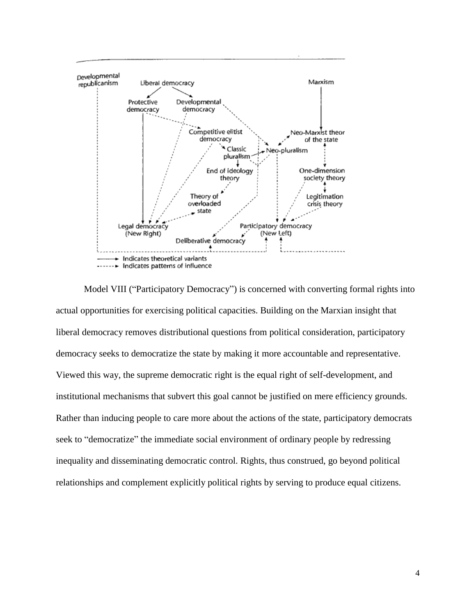

Model VIII ("Participatory Democracy") is concerned with converting formal rights into actual opportunities for exercising political capacities. Building on the Marxian insight that liberal democracy removes distributional questions from political consideration, participatory democracy seeks to democratize the state by making it more accountable and representative. Viewed this way, the supreme democratic right is the equal right of self-development, and institutional mechanisms that subvert this goal cannot be justified on mere efficiency grounds. Rather than inducing people to care more about the actions of the state, participatory democrats seek to "democratize" the immediate social environment of ordinary people by redressing inequality and disseminating democratic control. Rights, thus construed, go beyond political relationships and complement explicitly political rights by serving to produce equal citizens.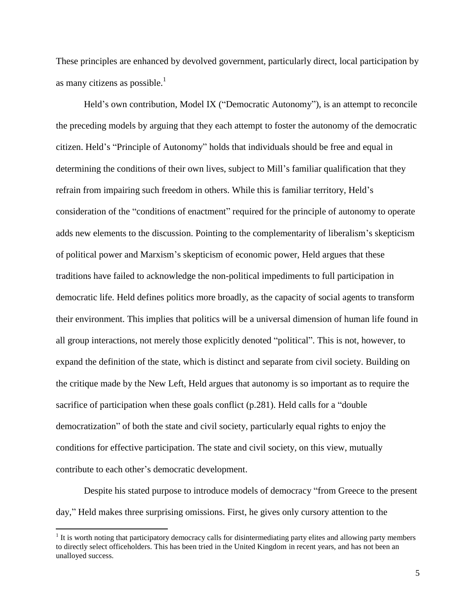These principles are enhanced by devolved government, particularly direct, local participation by as many citizens as possible. $<sup>1</sup>$ </sup>

Held's own contribution, Model IX ("Democratic Autonomy"), is an attempt to reconcile the preceding models by arguing that they each attempt to foster the autonomy of the democratic citizen. Held's "Principle of Autonomy" holds that individuals should be free and equal in determining the conditions of their own lives, subject to Mill's familiar qualification that they refrain from impairing such freedom in others. While this is familiar territory, Held's consideration of the "conditions of enactment" required for the principle of autonomy to operate adds new elements to the discussion. Pointing to the complementarity of liberalism's skepticism of political power and Marxism's skepticism of economic power, Held argues that these traditions have failed to acknowledge the non-political impediments to full participation in democratic life. Held defines politics more broadly, as the capacity of social agents to transform their environment. This implies that politics will be a universal dimension of human life found in all group interactions, not merely those explicitly denoted "political". This is not, however, to expand the definition of the state, which is distinct and separate from civil society. Building on the critique made by the New Left, Held argues that autonomy is so important as to require the sacrifice of participation when these goals conflict (p.281). Held calls for a "double democratization" of both the state and civil society, particularly equal rights to enjoy the conditions for effective participation. The state and civil society, on this view, mutually contribute to each other's democratic development.

Despite his stated purpose to introduce models of democracy "from Greece to the present day," Held makes three surprising omissions. First, he gives only cursory attention to the

 $\overline{\phantom{a}}$ 

 $<sup>1</sup>$  It is worth noting that participatory democracy calls for disintermediating party elites and allowing party members</sup> to directly select officeholders. This has been tried in the United Kingdom in recent years, and has not been an unalloyed success.